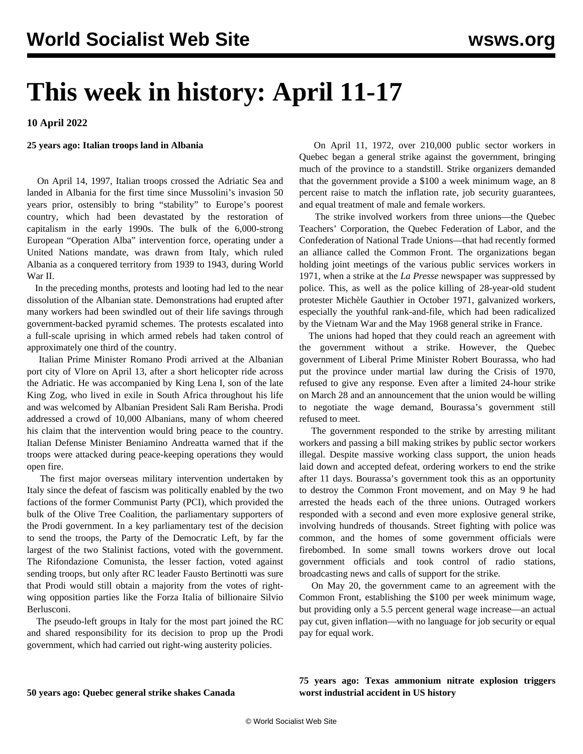# **This week in history: April 11-17**

**10 April 2022**

### **25 years ago: Italian troops land in Albania**

 On April 14, 1997, Italian troops crossed the Adriatic Sea and landed in Albania for the first time since Mussolini's invasion 50 years prior, ostensibly to bring "stability" to Europe's poorest country, which had been devastated by the restoration of capitalism in the early 1990s. The bulk of the 6,000-strong European "Operation Alba" intervention force, operating under a United Nations mandate, was drawn from Italy, which ruled Albania as a conquered territory from 1939 to 1943, during World War II.

 In the preceding months, protests and looting had led to the near dissolution of the Albanian state. Demonstrations had erupted after many workers had been swindled out of their life savings through government-backed pyramid schemes. The protests escalated into a full-scale uprising in which armed rebels had taken control of approximately one third of the country.

 Italian Prime Minister Romano Prodi arrived at the Albanian port city of Vlore on April 13, after a short helicopter ride across the Adriatic. He was accompanied by King Lena I, son of the late King Zog, who lived in exile in South Africa throughout his life and was welcomed by Albanian President Sali Ram Berisha. Prodi addressed a crowd of 10,000 Albanians, many of whom cheered his claim that the intervention would bring peace to the country. Italian Defense Minister Beniamino Andreatta warned that if the troops were attacked during peace-keeping operations they would open fire.

 The first major overseas military intervention undertaken by Italy since the defeat of fascism was politically enabled by the two factions of the former Communist Party (PCI), which provided the bulk of the Olive Tree Coalition, the parliamentary supporters of the Prodi government. In a key parliamentary test of the decision to send the troops, the Party of the Democratic Left, by far the largest of the two Stalinist factions, voted with the government. The Rifondazione Comunista, the lesser faction, voted against sending troops, but only after RC leader Fausto Bertinotti was sure that Prodi would still obtain a majority from the votes of rightwing opposition parties like the Forza Italia of billionaire Silvio Berlusconi.

 The pseudo-left groups in Italy for the most part joined the RC and shared responsibility for its decision to prop up the Prodi government, which had carried out right-wing austerity policies.

 On April 11, 1972, over 210,000 public sector workers in Quebec began a general strike against the government, bringing much of the province to a standstill. Strike organizers demanded that the government provide a \$100 a week minimum wage, an 8 percent raise to match the inflation rate, job security guarantees, and equal treatment of male and female workers.

 The strike involved workers from three unions—the Quebec Teachers' Corporation, the Quebec Federation of Labor, and the Confederation of National Trade Unions—that had recently formed an alliance called the Common Front. The organizations began holding joint meetings of the various public services workers in 1971, when a strike at the *La Presse* newspaper was suppressed by police. This, as well as the police killing of 28-year-old student protester Michèle Gauthier in October 1971, galvanized workers, especially the youthful rank-and-file, which had been radicalized by the Vietnam War and the May 1968 general strike in France.

 The unions had hoped that they could reach an agreement with the government without a strike. However, the Quebec government of Liberal Prime Minister Robert Bourassa, who had put the province under martial law during the Crisis of 1970, refused to give any response. Even after a limited 24-hour strike on March 28 and an announcement that the union would be willing to negotiate the wage demand, Bourassa's government still refused to meet.

 The government responded to the strike by arresting militant workers and passing a bill making strikes by public sector workers illegal. Despite massive working class support, the union heads laid down and accepted defeat, ordering workers to end the strike after 11 days. Bourassa's government took this as an opportunity to destroy the Common Front movement, and on May 9 he had arrested the heads each of the three unions. Outraged workers responded with a second and even more explosive general strike, involving hundreds of thousands. Street fighting with police was common, and the homes of some government officials were firebombed. In some small towns workers drove out local government officials and took control of radio stations, broadcasting news and calls of support for the strike.

 On May 20, the government came to an agreement with the Common Front, establishing the \$100 per week minimum wage, but providing only a 5.5 percent general wage increase—an actual pay cut, given inflation—with no language for job security or equal pay for equal work.

#### **50 years ago: Quebec general strike shakes Canada**

**75 years ago: Texas ammonium nitrate explosion triggers worst industrial accident in US history**